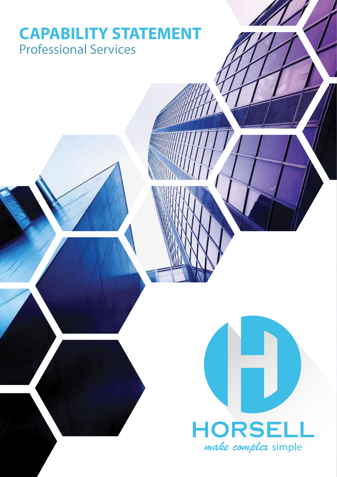# **CAPABILITY STATEMENT** Professional Services

HORSELL *make complex* simple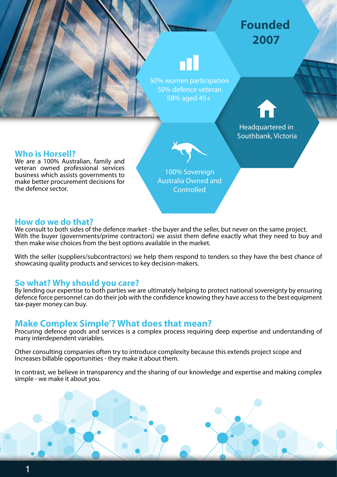## **Founded 2007**

50% women participation 50% defence veteran 58% aged  $45+$ 

> Headquartered in Southbank, Victoria

## **Who is Horsell?**

We are a 100% Australian, family and veteran owned professional services business which assists governments to make better procurement decisions for the defence sector.

100% Sovereign Australia Owned and **Controlled** 

#### **How do we do that?**

We consult to both sides of the defence market - the buyer and the seller, but never on the same project. With the buyer (governments/prime contractors) we assist them define exactly what they need to buy and then make wise choices from the best options available in the market.

With the seller (suppliers/subcontractors) we help them respond to tenders so they have the best chance of showcasing quality products and services to key decision-makers.

### **So what? Why should you care?**

By lending our expertise to both parties we are ultimately helping to protect national sovereignty by ensuring defence force personnel can do their job with the confidence knowing they have access to the best equipment tax-payer money can buy.

## **Make Complex Simple'? What does that mean?**

Procuring defence goods and services is a complex process requiring deep expertise and understanding of many interdependent variables.

Other consulting companies often try to introduce complexity because this extends project scope and Increases billable opportunities - they make it about them.

In contrast, we believe in transparency and the sharing of our knowledge and expertise and making complex simple - we make it about you.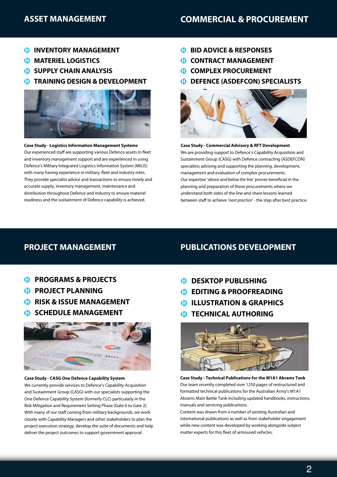#### **ASSET MANAGEMENT COMMERCIAL & PROCUREMENT**

- **ID INVENTORY MANAGEMENT**
- **CD MATERIEL LOGISTICS**
- **(B)** SUPPLY CHAIN ANALYSIS
- **TRAINING DESIGN & DEVELOPMENT** Ð



**Case Study - Logistics Information Management Systems**  Our experienced staff are supporting various Defence assets in fleet and inventory management support and are experienced in using Defence's Military Integrated Logistics Information System (MILIS) with many having experience in military, fleet and industry roles. They provide specialist advice and transactions to ensure timely and accurate supply, inventory management, maintenance and distribution throughout Defence and industry to ensure materiel readiness and the sustainment of Defence capability is achieved.

- **BID ADVICE & RESPONSES**
- **CONTRACT MANAGEMENT**
- **COMPLEX PROCUREMENT**
- **DEFENCE (ASDEFCON) SPECIALISTS**



**Case Study - Commercial Advisory & RFT Development** We are providing support to Defence's Capability Acquisition and Sustainment Group (CASG) with Defence contracting (ASDEFCON) specialists advising and supporting the planning, development, management and evaluation of complex procurements. Our expertise 'above and below the line' proves beneficial in the planning and preparation of these procurements where we understand both sides of the line and share lessons learned between staff to achieve 'next practice' - the step after best practice.

#### **PROJECT MANAGEMENT**

**PUBLICATIONS DEVELOPMENT**

- **CD PROGRAMS & PROJECTS**
- **(B) PROJECT PLANNING**
- **CD** RISK & ISSUE MANAGEMENT
- **SCHEDULE MANAGEMENT**



#### **Case Study - CASG One Defence Capability System**

We currently provide services to Defence's Capability Acquisition and Sustainment Group (CASG) with our specialists supporting the One Defence Capability System (formerly CLC) particularly in the Risk Mitigation and Requirement Setting Phase (Gate 0 to Gate 2). With many of our staff coming from military backgrounds, we work closely with Capability Managers and other stakeholders to plan the project execution strategy, develop the suite of documents and help deliver the project outcomes to support government approval.

- **DESKTOP PUBLISHING**
- **(B)** EDITING & PROOFREADING
- **ILLUSTRATION & GRAPHICS**
- **(B)** TECHNICAL AUTHORING



**Case Study - Technical Publications for the M1A1 Abrams Tank** Our team recently completed over 1250 pages of restructured and formatted technical publications for the Australian Army's M1A1 Abrams Main Battle Tank including updated handbooks, instructions, manuals and servicing publications.

Content was drawn from a number of existing Australian and international publications as well as from stakeholder engagement while new content was developed by working alongside subject matter experts for this fleet of armoured vehicles.